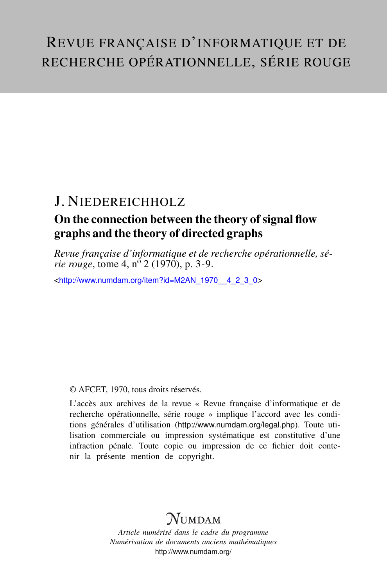# REVUE FRANÇAISE D'INFORMATIQUE ET DE RECHERCHE OPÉRATIONNELLE, SÉRIE ROUGE

## J. NIEDEREICHHOLZ

### On the connection between the theory of signal flow graphs and the theory of directed graphs

*Revue française d'informatique et de recherche opérationnelle, série rouge*, tome 4,  $n^{\delta}$  2 (1970), p. 3-9.

<[http://www.numdam.org/item?id=M2AN\\_1970\\_\\_4\\_2\\_3\\_0](http://www.numdam.org/item?id=M2AN_1970__4_2_3_0)>

#### © AFCET, 1970, tous droits réservés.

L'accès aux archives de la revue « Revue française d'informatique et de recherche opérationnelle, série rouge » implique l'accord avec les conditions générales d'utilisation (<http://www.numdam.org/legal.php>). Toute utilisation commerciale ou impression systématique est constitutive d'une infraction pénale. Toute copie ou impression de ce fichier doit contenir la présente mention de copyright.

## $\mathcal{N}$ umdam

*Article numérisé dans le cadre du programme Numérisation de documents anciens mathématiques* <http://www.numdam.org/>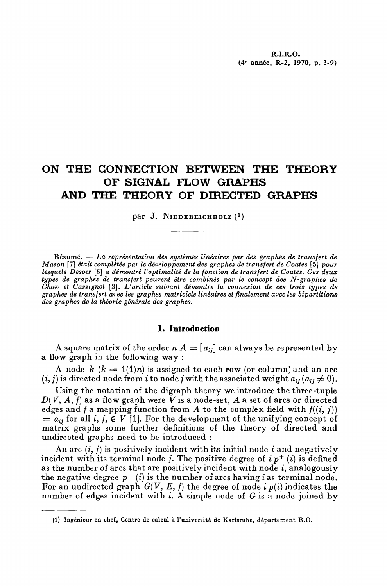### **ON THE CONNECTION BETWEEN THE THEORY OF SIGNAL FLOW GRAPHS AND THE THEORY OF DIRECTED GRAPHS**

par J. Niedereichholz (<sup>1</sup>)

Résumé. — *La représentation des systèmes linéaires par des graphes de transfert de Mason* [7] *était complétée par le développement des graphes de transfert de Coates* [5] *pour lesquels Desoer* [6] *a démontré Voptimalité de la fonction de transfert de Coates. Ces deux types de graphes de transfert peuvent être combinés par le concept des N-graphes de Chow et Cassignol* [3]. *L'article suivant démontre la connexion de ces trois types de graphes de transfert avec les graphes matriciels linéaires et finalement avec les bipartitions des graphes de la théorie générale des graphes.*

#### **1. Introduction**

A square matrix of the order  $n\,A = [a_{ij}]$  can always be represented by a flow graph in the following way:

A node  $k$   $(k = 1(1)n)$  is assigned to each row (or column) and an arc  $(i, j)$  is directed node from *i* to node *j* with the associated weight  $a_{ij}$  ( $a_{ij} \neq 0$ ).

Using the notation of the digraph theory we introducé the three-tuple  $D(V, A, f)$  as a flow graph were  $\tilde{V}$  is a node-set,  $A$  a set of arcs or directed edges and  $f$  a mapping function from  $A$  to the complex field with  $f((i, j))$  $= a_{ij}$  for all *i*, *j*,  $\in V$  [1]. For the development of the unifying concept of matrix graphs some further définitions of the theory of directed and undirected graphs need to be introduced :

An arc (i, /) is positively incident with its initial node *i* and negatively incident with its terminal node  $j$ . The positive degree of  $i p<sup>+</sup> (i)$  is defined as the number of arcs that are positively incident with node *i,* analogously the negative degree  $p^{-}(i)$  is the number of arcs having i as terminal node. For an undirected graph  $G(V, E, f)$  the degree of node *i*  $p(i)$  indicates the number of edges incident with *i.* A simple node of G is a node joined by

<sup>(1)</sup> Ingénieur en chef, Centre de calcul à l'université de Karlsruhe, département R.O.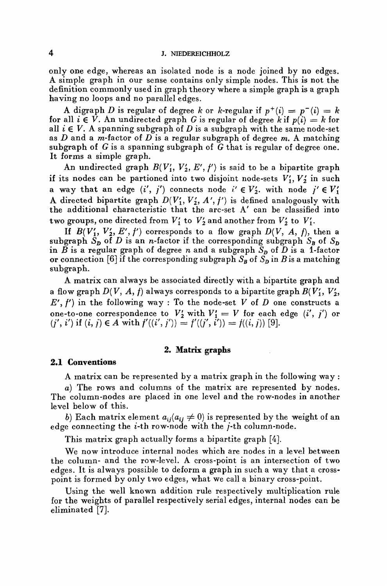only one edge, whereas an isolated node is a node joined by no edges. A simple graph in our sense contains only simple nodes. This is not the définition commonly used in graph theory where a simple graph is a graph having no loops and no parallel edges.

A digraph D is regular of degree k or k-regular if  $p^+(i) = p^-(i) = k$ for all  $i \in V$ . An undirected graph G is regular of degree k if  $p(i) = k$  for all  $i \in V$ . A spanning subgraph of D is a subgraph with the same node-set as *D* and a m-factor of *D* is a regular subgraph of degree m. A matching subgraph of G is a spanning subgraph of *G* that is regular of degree one. It forms a simple graph.

An undirected graph  $B(V'_1, V'_2, E', f')$  is said to be a bipartite graph if its nodes can be partioned into two disjoint node-sets  $V'_1, V'_2$  in such a way that an edge  $(i', j')$  connects node  $i' \in V'_2$ , with node  $j' \in V'_1$ A directed bipartite graph  $D(V'_1, V'_2, A', f')$  is defined analogously with the additional characteristic that the arc-set A' can be classified into two groups, one directed from  $V_1'$  to  $V_2'$  and another from  $V_2'$  to  $V_1'$ .

If  $B(V'_1, V'_2, E', f')$  corresponds to a flow graph  $D(V, A, f)$ , then a subgraph  $\tilde{S}_D$  of *D* is an *n*-factor if the corresponding subgraph  $S_B$  of  $S_D$ in  $\tilde{B}$  is a regular graph of degree *n* and a subgraph  $\tilde{S}_p$  of  $\tilde{D}$  is a 1-factor or connection [6] if the corresponding subgraph  $S_B$  of  $S_D$  in B is a matching subgraph.

A matrix can always be associated directly with a bipartite graph and a flow graph  $D(V, A, f)$  always corresponds to a bipartite graph  $B(V'_1, V'_2, f'_3)$  $E', f'$  in the following way : To the node-set  $V$  of  $D$  one constructs a one-to-one correspondence to  $V'_2$  with  $V'_1 = V$  for each edge  $(i', j')$  or  $(j', i')$  if  $(i, j) \in A$  with  $f'((i', j')) = f'((j', i')) = f((i, j))$  [9].

#### **2. Matrix graphs**

#### **2.1 Conventions**

A matrix can be represented by a matrix graph in the following way :

*a)* The rows and columns of the matrix are represented by nodes. The column-nodes are placed in one level and the row-nodes in another Ie vel below of this.

*b*) Each matrix element  $a_{ij}(a_{ij} \neq 0)$  is represented by the weight of an edge connecting the i-th row-node with the /-th column-node.

This matrix graph actually forms a bipartite graph [4].

We now introduce internal nodes which are nodes in a level between the column- and the row-level. A cross-point is an intersection of two edges. It is always possible to deform a graph in such a way that a crosspoint is formed by only two edges, what we call a binary cross-point.

Using the well known addition rule respectively multiplication rule for the weights of parallel respectively serial edges, internal nodes can be eliminated [7].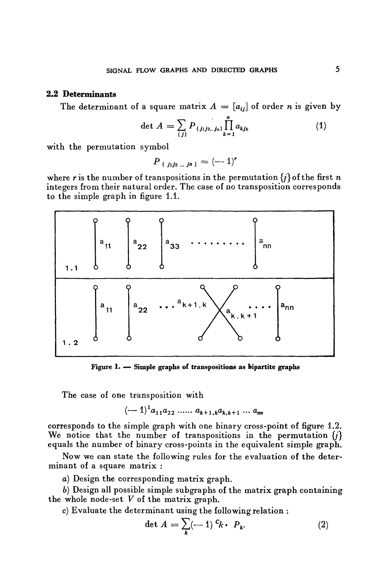#### **2.2 Déterminants**

The determinant of a square matrix  $A = [a_{ij}]$  of order *n* is given by

$$
\det A = \sum_{\{j\}} P_{\{j_1 j_2 \dots j_n\}} \prod_{k=1}^n a_{k j_k} \tag{1}
$$

with the permutation symbol

$$
P_{\{j_1j_2\ldots j_n\}}=(-1)^r
$$

where r is the number of transpositions in the permutation  $\{i\}$  of the first n integers from their natural order. The case of no transposition corresponds to the simple graph in figure 1.1.



**Figure 1. — Simple graphs of transpositions as bipartite graphs**

The case of one transposition with

$$
(-1)^{1}a_{11}a_{22} \, \ldots \, a_{k+1,k}a_{k,k+1} \, \ldots \, a_{nn}
$$

corresponds to the simple graph with one binary cross-point of figure 1.2. We notice that the number of transpositions in the permutation  $\{j\}$ equals the number of binary cross-points in the equivalent simple graph.

Now we can state the following rules for the evaluation of the determinant of a square matrix :

a) Design the corresponding matrix graph.

*b)* Design ail possible simple subgraphs of the matrix graph containing the whole node-set *V* of the matrix graph.

*c)* Evaluate the determinant using the following relation :

$$
\det A = \sum_{k} (-1)^{c_k} \cdot P_k. \tag{2}
$$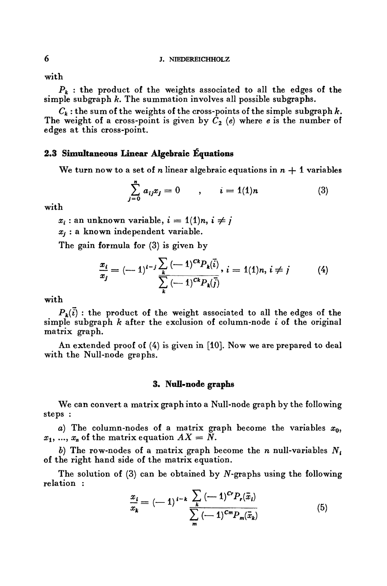with

 $P_k$ : the product of the weights associated to all the edges of the simple subgraph *k.* The summation involves all possible subgraphs.

 $C_k$ : the sum of the weights of the cross-points of the simple subgraph  $k$ . The weight of a cross-point is given by  $\tilde{C}_2$  (e) where *e* is the number of edges at this eross-point.

#### **2.3 Simultaneous Linear Algebraic Équations**

We turn now to a set of *n* linear algebraic equations in  $n + 1$  variables

$$
\sum_{j=0}^{n} a_{ij} x_j = 0 \qquad , \qquad i = 1(1)n \qquad (3)
$$

with

 $x_i$ : an unknown variable,  $i = 1/1/n$ ,  $i \neq j$ 

*Xj* : a known independent variable.

The gain formula for (3) is given by

$$
\frac{x_i}{x_j} = (-1)^{i-j} \frac{\sum_{k} (-1)^{Ck} P_k(\vec{i})}{\sum_{k} (-1)^{Ck} P_k(\vec{j})}, i = 1(1)n, i \neq j \tag{4}
$$

with

 $P_k(\vec{i})$ : the product of the weight associated to all the edges of the simple subgraph *k* after the exclusion of column-node *i* of the original matrix graph.

An extended proof of (4) is given in [10]. Now we are prepared to deal with the Null-node graphs.

#### **3\* Null-node graphs**

We can convert a matrix graph into a Null-node graph by the foliowing steps :

*a*) The column-nodes of a matrix graph become the variables  $x_0$ ,  $x_1, \, ... , \, x_n$  of the matrix equation  $AX = N.$ 

*b)* The row-nodes of a matrix graph become the *n* null-variables *N<sup>t</sup>* of the right hand side of the matrix équation.

The solution of  $(3)$  can be obtained by N-graphs using the following relation :

$$
\frac{x_i}{x_k} = (-1)^{i-k} \frac{\sum_{k} (-1)^{Cr} P_r(\bar{x}_i)}{\sum_{m} (-1)^{Cm} P_m(\bar{x}_k)}
$$
(5)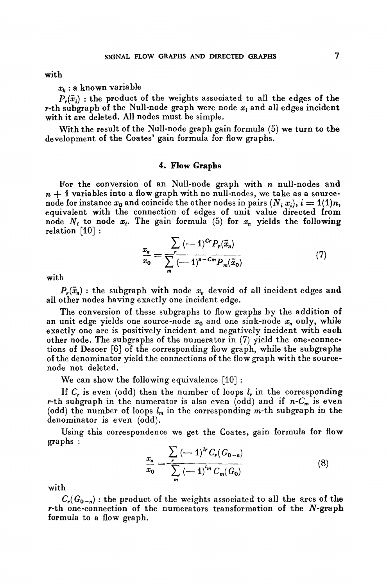with

*xk* : a known variable

 $P_r(\vec{x}_i)$ : the product of the weights associated to all the edges of the r-th subgraph of the Null-node graph were node  $x_i$  and all edges incident with it are deleted. All nodes must be simple.

With the result of the Null-node graph gain formula (5) we turn to the development of the Coates' gain formula for flow graphs.

#### 4. Flow Graphs

For the conversion of an Null-node graph with *n* null-nodes and  $n + 1$  variables into a flow graph with no null-nodes, we take as a sourcenode for instance  $x_0$  and coincide the other nodes in pairs  $(N_i x_i)$ ,  $i = 1(1)n$ , equivalent with the connection of edges of unit value directed from node  $N_i$  to node  $x_i$ . The gain formula (5) for  $x_n$  yields the following relation [10] :

$$
\frac{x_n}{x_0} = \frac{\sum_{r} (-1)^{Cr} P_r(\bar{x}_n)}{\sum_{m} (-1)^{n-Cm} P_m(\bar{x}_0)}
$$
(7)

with

 $P_r(\bar{x}_n)$ : the subgraph with node  $x_n$  devoid of all incident edges and all other nodes having exactly one incident edge.

The conversion of these subgraphs to flow graphs by the addition of an unit edge yields one source-node  $x_0$  and one sink-node  $x_n$  only, while exactly one are is positively incident and negatively incident with each other node. The subgraphs of the numerator in (7) yield the one-connections of Desoer [6] of the corresponding flow graph, while the subgraphs of the denominator yield the connections of the flow graph with the sourcenode not deleted.

We can show the following equivalence  $[10]$ :

If *C<sup>r</sup>* is even (odd) then the number of loops *l<sup>r</sup>* in the corresponding r-th subgraph in the numerator is also even (odd) and if  $n-C_m$  is even (odd) the number of loops  $l_m$  in the corresponding  $m$ -th subgraph in the denominator is even (odd).

Using this correspondence we get the Coates, gain formula for flow graphs :

$$
\frac{x_n}{x_0} = \frac{\sum_{r} (-1)^{lr} C_r (G_{0-n})}{\sum_{m} (-1)^{l_m} C_m (G_0)}
$$
(8)

with

 $C_r(G_{0-n})$ : the product of the weights associated to all the arcs of the r-th one-connection of the numerators transformation of the  $N$ -graph formula to a flow graph.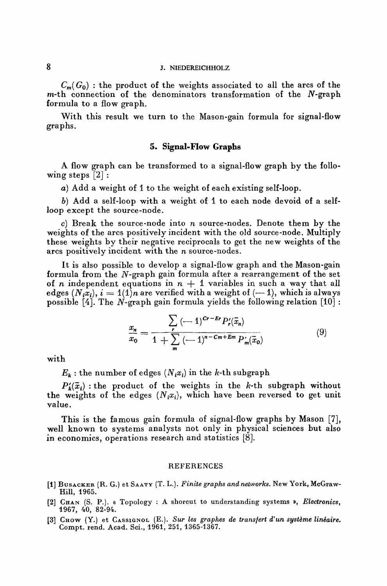#### 8 J. NIEDEREICHHOLZ

 $C_m(G_0)$ : the product of the weights associated to all the arcs of the  $m$ -th connection of the denominators transformation of the  $N$ -graph formula to a flow graph.

With this result we turn to the Mason-gain formula for signal-flow graphs.

#### **5. Signal-Flow Graphs**

A flow graph can be transformed to a signal-flow graph by the following steps [2]:

*a)* Add a weight of 1 to the weight of each existing self-loop.

*b)* Add a self-loop with a weight of 1 to each node devoid of a selfloop except the source-node.

c) Break the source-node into *n* source-nodes. Dénote them by the weights of the arcs positively incident with the old source-node. Multiply these weights by their negative reciprocals to get the new weights of the arcs positively incident with the *n* source-nodes.

It is also possible to develop a signal-flow graph and the Mason-gain formula from the  $N$ -graph gain formula after a rearrangement of the set of *n* independent equations in  $n + 1$  variables in such a way that all edges  $(N_i x_i)$ ,  $i = 1(1)n$  are verified with a weight of  $(-1)$ , which is always possible [4]. The *N-*graph gain formula yields the following relation [10] :

$$
\frac{x_n}{x_0} = \frac{\sum_{r} (-1)^{Cr-Er} P'_r(\bar{x}_n)}{1 + \sum_{m} (-1)^{n-Cr+Em} P'_m(\bar{x}_0)}
$$
(9)

with

 $E_k$ : the number of edges  $(N_i x_i)$  in the *k*-th subgraph

 $f_k(\bar{x}_i)$ : the product of the weights in the k-th subgraph without the weights of the edges  $(N_i x_i)$ , which have been reversed to get unit value.

This is the famous gain formula of signal-flow graphs by Mason [7], well known to systems analysts not only in physical sciences but also in economics, operations research and statistics [8].

#### REFERENCES

- **[1]** BUSACKER (R. G.) et SAATY (T. L.). *Finite graphs and networks.* New York, McGraw-Hill, 1965.
- [2] CHAN (S. P.). « Topology : A shorcut to understanding Systems », *Electronics,* 1967, 40, 82-94.
- [3] CHOW (Y.) et CASSIGNOL (E.). *Sur les graphes de transfert d'un système lineaire.* Compt. rend. Acad. Sci., 1961, 251, 1365-1367.